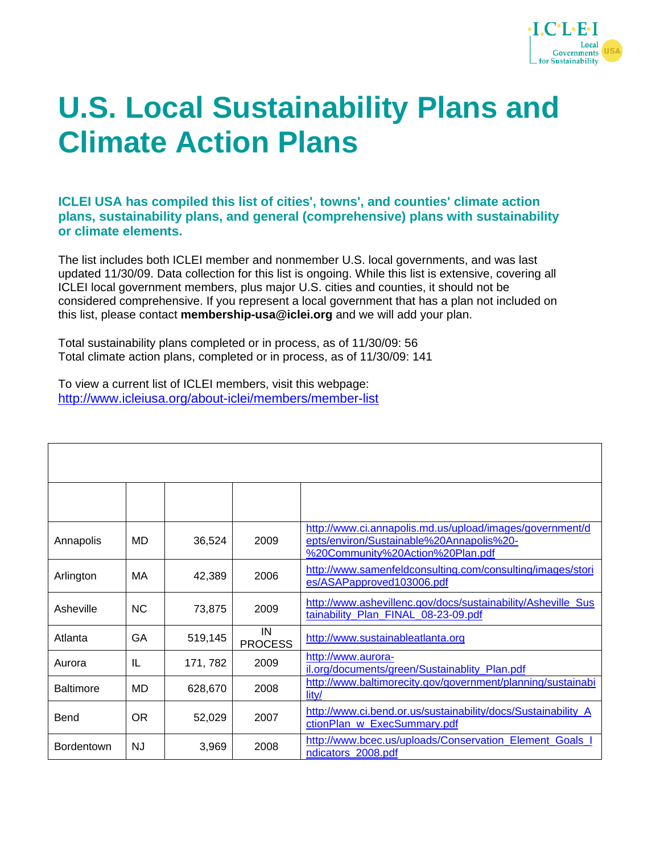

## **U.S. Local Sustainability Plans and Climate Action Plans**

**ICLEI USA has compiled this list of cities', towns', and counties' climate action plans, sustainability plans, and general (comprehensive) plans with sustainability or climate elements.** 

The list includes both ICLEI member and nonmember U.S. local governments, and was last updated 11/30/09. Data collection for this list is ongoing. While this list is extensive, covering all ICLEI local government members, plus major U.S. cities and counties, it should not be considered comprehensive. If you represent a local government that has a plan not included on this list, please contact **membership-usa@iclei.org** and we will add your plan.

Total sustainability plans completed or in process, as of 11/30/09: 56 Total climate action plans, completed or in process, as of 11/30/09: 141

To view a current list of ICLEI members, visit this webpage: <http://www.icleiusa.org/about-iclei/members/member-list>

| Annapolis         | MD        | 36,524   | 2009                 | http://www.ci.annapolis.md.us/upload/images/government/d<br>epts/environ/Sustainable%20Annapolis%20-<br>%20Community%20Action%20Plan.pdf |
|-------------------|-----------|----------|----------------------|------------------------------------------------------------------------------------------------------------------------------------------|
| Arlington         | MA        | 42,389   | 2006                 | http://www.samenfeldconsulting.com/consulting/images/stori<br>es/ASAPapproved103006.pdf                                                  |
| Asheville         | <b>NC</b> | 73,875   | 2009                 | http://www.ashevillenc.gov/docs/sustainability/Asheville_Sus<br>tainability_Plan_FINAL_08-23-09.pdf                                      |
| Atlanta           | GA        | 519,145  | IN<br><b>PROCESS</b> | http://www.sustainableatlanta.org                                                                                                        |
| Aurora            | IL        | 171, 782 | 2009                 | http://www.aurora-<br>il.org/documents/green/Sustainablity Plan.pdf                                                                      |
| <b>Baltimore</b>  | MD.       | 628,670  | 2008                 | http://www.baltimorecity.gov/government/planning/sustainabi<br>lity/                                                                     |
| Bend              | OR.       | 52,029   | 2007                 | http://www.ci.bend.or.us/sustainability/docs/Sustainability_A<br>ctionPlan_w_ExecSummary.pdf                                             |
| <b>Bordentown</b> | NJ.       | 3,969    | 2008                 | http://www.bcec.us/uploads/Conservation Element Goals<br>ndicators_2008.pdf                                                              |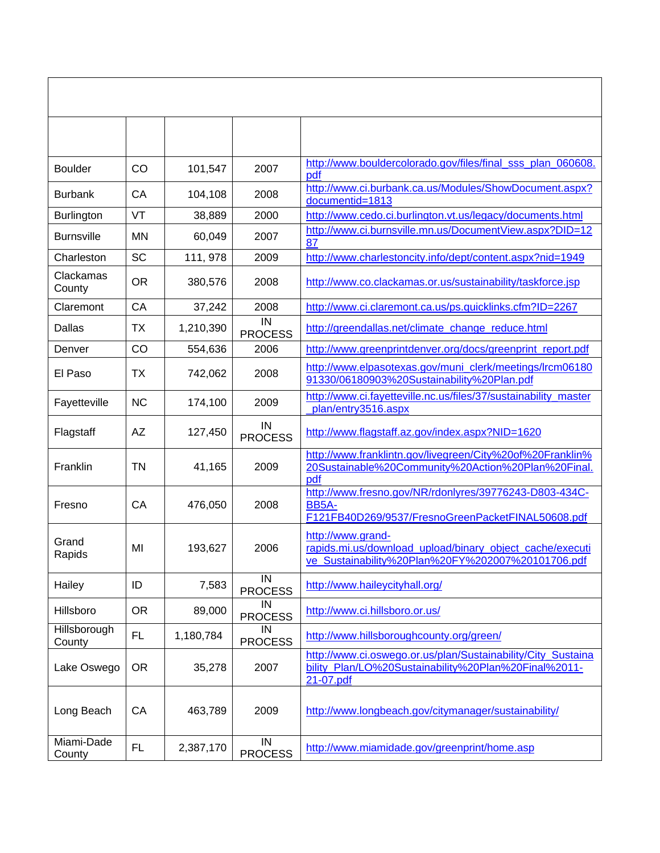| <b>Boulder</b>         | CO        | 101,547   | 2007                 | http://www.bouldercolorado.gov/files/final sss plan 060608.<br>pdf                                                                 |
|------------------------|-----------|-----------|----------------------|------------------------------------------------------------------------------------------------------------------------------------|
| <b>Burbank</b>         | CA        | 104,108   | 2008                 | http://www.ci.burbank.ca.us/Modules/ShowDocument.aspx?<br>documentid=1813                                                          |
| <b>Burlington</b>      | VT        | 38,889    | 2000                 | http://www.cedo.ci.burlington.vt.us/legacy/documents.html                                                                          |
| <b>Burnsville</b>      | MN        | 60,049    | 2007                 | http://www.ci.burnsville.mn.us/DocumentView.aspx?DID=12<br>87                                                                      |
| Charleston             | <b>SC</b> | 111, 978  | 2009                 | http://www.charlestoncity.info/dept/content.aspx?nid=1949                                                                          |
| Clackamas<br>County    | <b>OR</b> | 380,576   | 2008                 | http://www.co.clackamas.or.us/sustainability/taskforce.jsp                                                                         |
| Claremont              | CA        | 37,242    | 2008                 | http://www.ci.claremont.ca.us/ps.quicklinks.cfm?ID=2267                                                                            |
| Dallas                 | ТX        | 1,210,390 | IN<br><b>PROCESS</b> | http://greendallas.net/climate change reduce.html                                                                                  |
| Denver                 | CO        | 554,636   | 2006                 | http://www.greenprintdenver.org/docs/greenprint_report.pdf                                                                         |
| El Paso                | <b>TX</b> | 742,062   | 2008                 | http://www.elpasotexas.gov/muni_clerk/meetings/lrcm06180<br>91330/06180903%20Sustainability%20Plan.pdf                             |
| Fayetteville           | <b>NC</b> | 174,100   | 2009                 | http://www.ci.fayetteville.nc.us/files/37/sustainability_master<br>plan/entry3516.aspx                                             |
| Flagstaff              | <b>AZ</b> | 127,450   | IN<br><b>PROCESS</b> | http://www.flagstaff.az.gov/index.aspx?NID=1620                                                                                    |
| Franklin               | TN        | 41,165    | 2009                 | http://www.franklintn.gov/livegreen/City%20of%20Franklin%<br>20Sustainable%20Community%20Action%20Plan%20Final.<br>pdf             |
| Fresno                 | CA        | 476,050   | 2008                 | http://www.fresno.gov/NR/rdonlyres/39776243-D803-434C-<br>BB5A-<br>F121FB40D269/9537/FresnoGreenPacketFINAL50608.pdf               |
| Grand<br>Rapids        | MI        | 193,627   | 2006                 | http://www.grand-<br>rapids.mi.us/download_upload/binary_object_cache/executi<br>ve_Sustainability%20Plan%20FY%202007%20101706.pdf |
| Hailey                 | ID        | 7,583     | IN<br><b>PROCESS</b> | http://www.haileycityhall.org/                                                                                                     |
| Hillsboro              | <b>OR</b> | 89,000    | IN<br><b>PROCESS</b> | http://www.ci.hillsboro.or.us/                                                                                                     |
| Hillsborough<br>County | <b>FL</b> | 1,180,784 | IN<br><b>PROCESS</b> | http://www.hillsboroughcounty.org/green/                                                                                           |
| Lake Oswego            | <b>OR</b> | 35,278    | 2007                 | http://www.ci.oswego.or.us/plan/Sustainability/City_Sustaina<br>bility_Plan/LO%20Sustainability%20Plan%20Final%2011-<br>21-07.pdf  |
| Long Beach             | CA        | 463,789   | 2009                 | http://www.longbeach.gov/citymanager/sustainability/                                                                               |
| Miami-Dade<br>County   | FL        | 2,387,170 | IN<br><b>PROCESS</b> | http://www.miamidade.gov/greenprint/home.asp                                                                                       |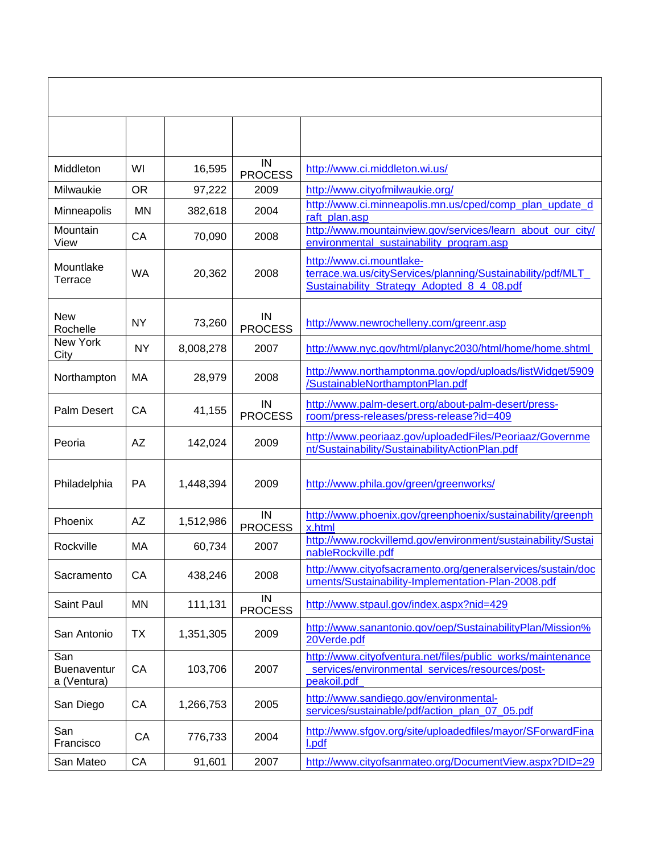| Middleton                                | WI        | 16,595    | IN<br><b>PROCESS</b> | http://www.ci.middleton.wi.us/                                                                                                       |
|------------------------------------------|-----------|-----------|----------------------|--------------------------------------------------------------------------------------------------------------------------------------|
| Milwaukie                                | <b>OR</b> | 97,222    | 2009                 | http://www.cityofmilwaukie.org/                                                                                                      |
| Minneapolis                              | <b>MN</b> | 382,618   | 2004                 | http://www.ci.minneapolis.mn.us/cped/comp_plan_update_d<br>raft_plan.asp                                                             |
| Mountain<br>View                         | CA        | 70,090    | 2008                 | http://www.mountainview.gov/services/learn_about_our_city/<br>environmental_sustainability_program.asp                               |
| Mountlake<br>Terrace                     | <b>WA</b> | 20,362    | 2008                 | http://www.ci.mountlake-<br>terrace.wa.us/cityServices/planning/Sustainability/pdf/MLT<br>Sustainability_Strategy_Adopted_8_4_08.pdf |
| <b>New</b><br>Rochelle                   | <b>NY</b> | 73,260    | IN<br><b>PROCESS</b> | http://www.newrochelleny.com/greenr.asp                                                                                              |
| New York<br>City                         | <b>NY</b> | 8,008,278 | 2007                 | http://www.nyc.gov/html/planyc2030/html/home/home.shtml                                                                              |
| Northampton                              | МA        | 28,979    | 2008                 | http://www.northamptonma.gov/opd/uploads/listWidget/5909<br>/SustainableNorthamptonPlan.pdf                                          |
| Palm Desert                              | CA        | 41,155    | IN<br><b>PROCESS</b> | http://www.palm-desert.org/about-palm-desert/press-<br>room/press-releases/press-release?id=409                                      |
| Peoria                                   | <b>AZ</b> | 142,024   | 2009                 | http://www.peoriaaz.gov/uploadedFiles/Peoriaaz/Governme<br>nt/Sustainability/SustainabilityActionPlan.pdf                            |
| Philadelphia                             | <b>PA</b> | 1,448,394 | 2009                 | http://www.phila.gov/green/greenworks/                                                                                               |
| Phoenix                                  | <b>AZ</b> | 1,512,986 | IN<br><b>PROCESS</b> | http://www.phoenix.gov/greenphoenix/sustainability/greenph<br>x.html                                                                 |
| Rockville                                | МA        | 60,734    | 2007                 | http://www.rockvillemd.gov/environment/sustainability/Sustai<br>nableRockville.pdf                                                   |
| Sacramento                               | CA        | 438,246   | 2008                 | http://www.cityofsacramento.org/generalservices/sustain/doc<br>uments/Sustainability-Implementation-Plan-2008.pdf                    |
| Saint Paul                               | <b>MN</b> | 111,131   | IN<br><b>PROCESS</b> | http://www.stpaul.gov/index.aspx?nid=429                                                                                             |
| San Antonio                              | <b>TX</b> | 1,351,305 | 2009                 | http://www.sanantonio.gov/oep/SustainabilityPlan/Mission%<br>20Verde.pdf                                                             |
| San<br><b>Buenaventur</b><br>a (Ventura) | CA        | 103,706   | 2007                 | http://www.cityofventura.net/files/public_works/maintenance<br>services/environmental_services/resources/post-<br>peakoil.pdf        |
| San Diego                                | CA        | 1,266,753 | 2005                 | http://www.sandiego.gov/environmental-<br>services/sustainable/pdf/action plan 07 05.pdf                                             |
| San<br>Francisco                         | CA        | 776,733   | 2004                 | http://www.sfgov.org/site/uploadedfiles/mayor/SForwardFina<br>I.pdf                                                                  |
| San Mateo                                | CA        | 91,601    | 2007                 | http://www.cityofsanmateo.org/DocumentView.aspx?DID=29                                                                               |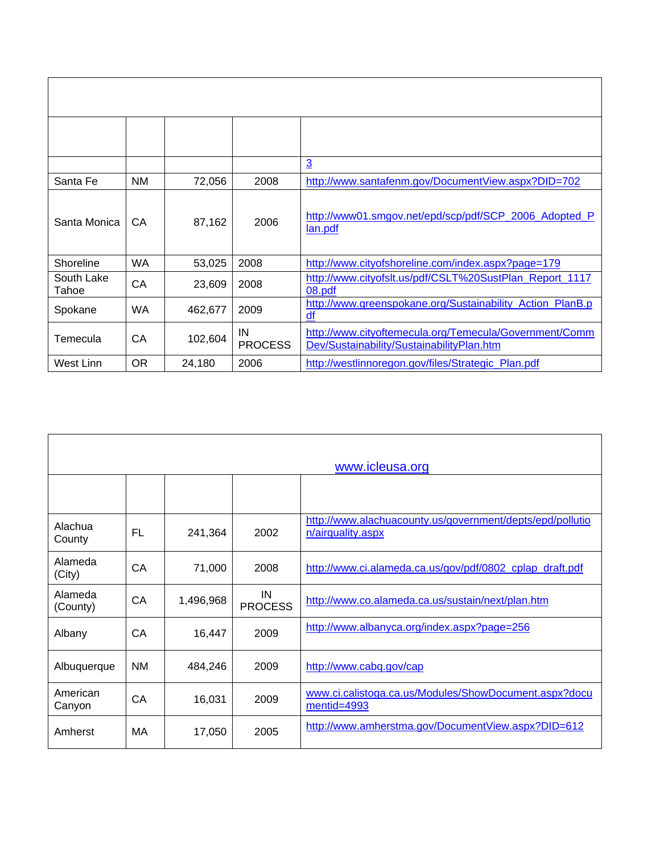|                     |           |         |                      | $\overline{3}$                                                                                      |
|---------------------|-----------|---------|----------------------|-----------------------------------------------------------------------------------------------------|
| Santa Fe            | NM        | 72,056  | 2008                 | http://www.santafenm.gov/DocumentView.aspx?DID=702                                                  |
| Santa Monica        | CA.       | 87,162  | 2006                 | http://www01.smgov.net/epd/scp/pdf/SCP_2006_Adopted_P<br>lan.pdf                                    |
| Shoreline           | WA        | 53,025  | 2008                 | http://www.cityofshoreline.com/index.aspx?page=179                                                  |
| South Lake<br>Tahoe | CA        | 23,609  | 2008                 | http://www.cityofslt.us/pdf/CSLT%20SustPlan_Report_1117<br>08.pdf                                   |
| Spokane             | <b>WA</b> | 462,677 | 2009                 | http://www.greenspokane.org/Sustainability Action PlanB.p<br>df                                     |
| Temecula            | CA        | 102,604 | IN<br><b>PROCESS</b> | http://www.cityoftemecula.org/Temecula/Government/Comm<br>Dev/Sustainability/SustainabilityPlan.htm |
| West Linn           | OR.       | 24,180  | 2006                 | http://westlinnoregon.gov/files/Strategic_Plan.pdf                                                  |

|                     |           |           |                      | www.icleusa.org                                                                |
|---------------------|-----------|-----------|----------------------|--------------------------------------------------------------------------------|
|                     |           |           |                      |                                                                                |
| Alachua<br>County   | <b>FL</b> | 241,364   | 2002                 | http://www.alachuacounty.us/government/depts/epd/pollutio<br>n/airquality.aspx |
| Alameda<br>(City)   | CA        | 71,000    | 2008                 | http://www.ci.alameda.ca.us/gov/pdf/0802_cplap_draft.pdf                       |
| Alameda<br>(County) | CA        | 1,496,968 | IN<br><b>PROCESS</b> | http://www.co.alameda.ca.us/sustain/next/plan.htm                              |
| Albany              | CA        | 16,447    | 2009                 | http://www.albanyca.org/index.aspx?page=256                                    |
| Albuquerque         | <b>NM</b> | 484,246   | 2009                 | http://www.cabq.gov/cap                                                        |
| American<br>Canyon  | CA        | 16,031    | 2009                 | www.ci.calistoga.ca.us/Modules/ShowDocument.aspx?docu<br>$mentid = 4993$       |
| Amherst             | МA        | 17,050    | 2005                 | http://www.amherstma.gov/DocumentView.aspx?DID=612                             |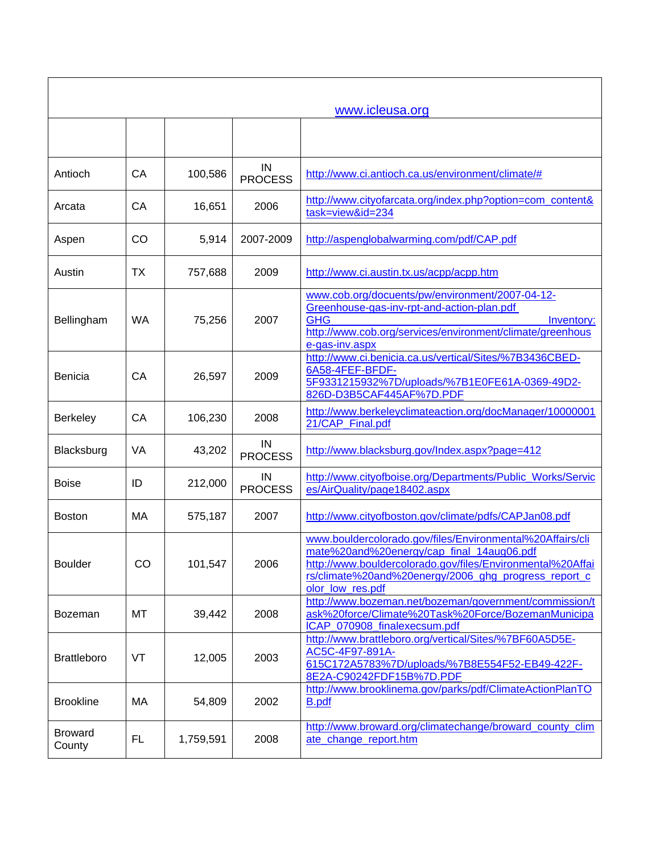|                          |           |           |                      | www.icleusa.org                                                                                                                                                                                                                                  |
|--------------------------|-----------|-----------|----------------------|--------------------------------------------------------------------------------------------------------------------------------------------------------------------------------------------------------------------------------------------------|
|                          |           |           |                      |                                                                                                                                                                                                                                                  |
| Antioch                  | CA        | 100,586   | IN<br><b>PROCESS</b> | http://www.ci.antioch.ca.us/environment/climate/#                                                                                                                                                                                                |
| Arcata                   | CA        | 16,651    | 2006                 | http://www.cityofarcata.org/index.php?option=com_content&<br>task=view&id=234                                                                                                                                                                    |
| Aspen                    | CO        | 5,914     | 2007-2009            | http://aspenglobalwarming.com/pdf/CAP.pdf                                                                                                                                                                                                        |
| Austin                   | ТX        | 757,688   | 2009                 | http://www.ci.austin.tx.us/acpp/acpp.htm                                                                                                                                                                                                         |
| Bellingham               | <b>WA</b> | 75,256    | 2007                 | www.cob.org/docuents/pw/environment/2007-04-12-<br>Greenhouse-gas-inv-rpt-and-action-plan.pdf<br><b>GHG</b><br>Inventory:<br>http://www.cob.org/services/environment/climate/greenhous<br>e-gas-inv.aspx                                         |
| <b>Benicia</b>           | CA        | 26,597    | 2009                 | http://www.ci.benicia.ca.us/vertical/Sites/%7B3436CBED-<br>6A58-4FEF-BFDF-<br>5F9331215932%7D/uploads/%7B1E0FE61A-0369-49D2-<br>826D-D3B5CAF445AF%7D.PDF                                                                                         |
| <b>Berkeley</b>          | CA        | 106,230   | 2008                 | http://www.berkeleyclimateaction.org/docManager/10000001<br>21/CAP Final.pdf                                                                                                                                                                     |
| Blacksburg               | VA        | 43,202    | IN<br><b>PROCESS</b> | http://www.blacksburg.gov/Index.aspx?page=412                                                                                                                                                                                                    |
| <b>Boise</b>             | ID        | 212,000   | IN<br><b>PROCESS</b> | http://www.cityofboise.org/Departments/Public Works/Servic<br>es/AirQuality/page18402.aspx                                                                                                                                                       |
| <b>Boston</b>            | МA        | 575,187   | 2007                 | http://www.cityofboston.gov/climate/pdfs/CAPJan08.pdf                                                                                                                                                                                            |
| <b>Boulder</b>           | CO        | 101,547   | 2006                 | www.bouldercolorado.gov/files/Environmental%20Affairs/cli<br>mate%20and%20energy/cap_final_14aug06.pdf<br>http://www.bouldercolorado.gov/files/Environmental%20Affai<br>rs/climate%20and%20energy/2006_ghg_progress_report_c<br>olor_low_res.pdf |
| Bozeman                  | MT        | 39,442    | 2008                 | http://www.bozeman.net/bozeman/government/commission/t<br>ask%20force/Climate%20Task%20Force/BozemanMunicipa<br>ICAP_070908_finalexecsum.pdf                                                                                                     |
| <b>Brattleboro</b>       | VT        | 12,005    | 2003                 | http://www.brattleboro.org/vertical/Sites/%7BF60A5D5E-<br>AC5C-4F97-891A-<br>615C172A5783%7D/uploads/%7B8E554F52-EB49-422F-<br>8E2A-C90242FDF15B%7D.PDF                                                                                          |
| <b>Brookline</b>         | МA        | 54,809    | 2002                 | http://www.brooklinema.gov/parks/pdf/ClimateActionPlanTO<br><b>B.pdf</b>                                                                                                                                                                         |
| <b>Broward</b><br>County | FL        | 1,759,591 | 2008                 | http://www.broward.org/climatechange/broward_county_clim<br>ate_change_report.htm                                                                                                                                                                |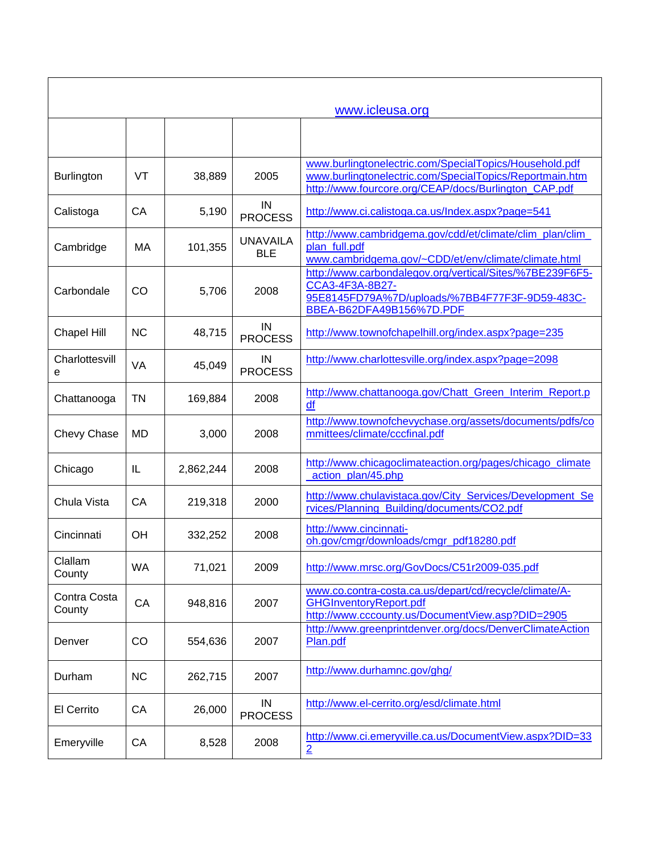|                        |           |           |                               | www.icleusa.org                                                                                                                                                           |
|------------------------|-----------|-----------|-------------------------------|---------------------------------------------------------------------------------------------------------------------------------------------------------------------------|
|                        |           |           |                               |                                                                                                                                                                           |
| <b>Burlington</b>      | <b>VT</b> | 38,889    | 2005                          | www.burlingtonelectric.com/SpecialTopics/Household.pdf<br>www.burlingtonelectric.com/SpecialTopics/Reportmain.htm<br>http://www.fourcore.org/CEAP/docs/Burlington_CAP.pdf |
| Calistoga              | CA        | 5,190     | IN<br><b>PROCESS</b>          | http://www.ci.calistoga.ca.us/Index.aspx?page=541                                                                                                                         |
| Cambridge              | MA        | 101,355   | <b>UNAVAILA</b><br><b>BLE</b> | http://www.cambridgema.gov/cdd/et/climate/clim_plan/clim_<br>plan_full.pdf<br>www.cambridgema.gov/~CDD/et/env/climate/climate.html                                        |
| Carbondale             | CO        | 5,706     | 2008                          | http://www.carbondalegov.org/vertical/Sites/%7BE239F6F5-<br>CCA3-4F3A-8B27-<br>95E8145FD79A%7D/uploads/%7BB4F77F3F-9D59-483C-<br>BBEA-B62DFA49B156%7D.PDF                 |
| <b>Chapel Hill</b>     | <b>NC</b> | 48,715    | IN<br><b>PROCESS</b>          | http://www.townofchapelhill.org/index.aspx?page=235                                                                                                                       |
| Charlottesvill<br>е    | VA        | 45,049    | IN<br><b>PROCESS</b>          | http://www.charlottesville.org/index.aspx?page=2098                                                                                                                       |
| Chattanooga            | TN        | 169,884   | 2008                          | http://www.chattanooga.gov/Chatt_Green_Interim_Report.p<br>df                                                                                                             |
| Chevy Chase            | MD        | 3,000     | 2008                          | http://www.townofchevychase.org/assets/documents/pdfs/co<br>mmittees/climate/cccfinal.pdf                                                                                 |
| Chicago                | IL        | 2,862,244 | 2008                          | http://www.chicagoclimateaction.org/pages/chicago_climate<br>action_plan/45.php                                                                                           |
| Chula Vista            | CA        | 219,318   | 2000                          | http://www.chulavistaca.gov/City_Services/Development_Se<br>rvices/Planning_Building/documents/CO2.pdf                                                                    |
| Cincinnati             | <b>OH</b> | 332,252   | 2008                          | http://www.cincinnati-<br>oh.gov/cmgr/downloads/cmgr_pdf18280.pdf                                                                                                         |
| Clallam<br>County      | <b>WA</b> | 71,021    | 2009                          | http://www.mrsc.org/GovDocs/C51r2009-035.pdf                                                                                                                              |
| Contra Costa<br>County | CA        | 948,816   | 2007                          | www.co.contra-costa.ca.us/depart/cd/recycle/climate/A-<br><b>GHGInventoryReport.pdf</b><br>http://www.cccounty.us/DocumentView.asp?DID=2905                               |
| Denver                 | CO        | 554,636   | 2007                          | http://www.greenprintdenver.org/docs/DenverClimateAction<br>Plan.pdf                                                                                                      |
| Durham                 | <b>NC</b> | 262,715   | 2007                          | http://www.durhamnc.gov/ghg/                                                                                                                                              |
| El Cerrito             | CA        | 26,000    | IN<br><b>PROCESS</b>          | http://www.el-cerrito.org/esd/climate.html                                                                                                                                |
| Emeryville             | CA        | 8,528     | 2008                          | http://www.ci.emeryville.ca.us/DocumentView.aspx?DID=33<br>$\overline{2}$                                                                                                 |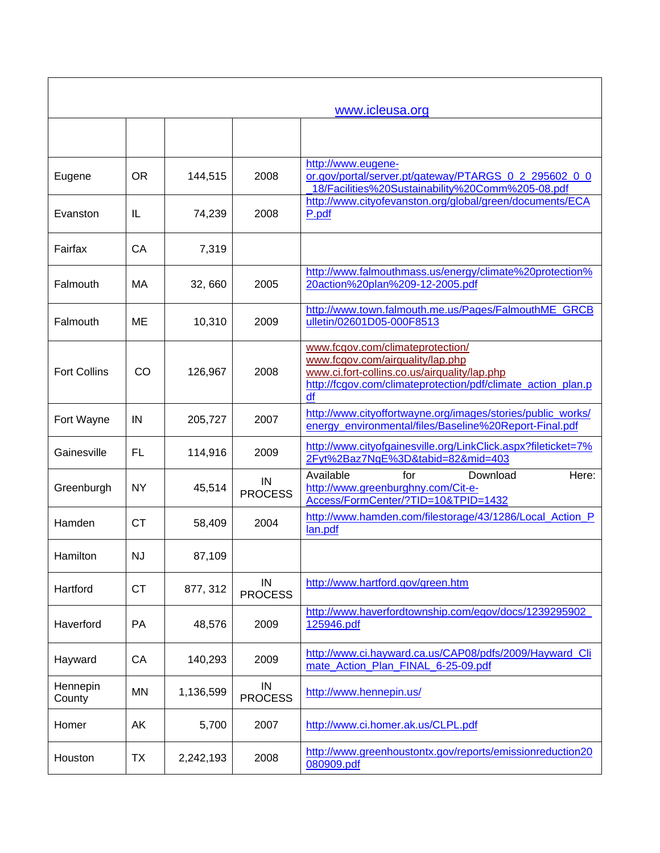| www.icleusa.org     |           |           |                      |                                                                                                                                                                                            |
|---------------------|-----------|-----------|----------------------|--------------------------------------------------------------------------------------------------------------------------------------------------------------------------------------------|
|                     |           |           |                      |                                                                                                                                                                                            |
| Eugene              | <b>OR</b> | 144,515   | 2008                 | http://www.eugene-<br>or.gov/portal/server.pt/gateway/PTARGS 0_2_295602_0_0<br>18/Facilities%20Sustainability%20Comm%205-08.pdf                                                            |
| Evanston            | IL        | 74,239    | 2008                 | http://www.cityofevanston.org/global/green/documents/ECA<br>P.pdf                                                                                                                          |
| Fairfax             | CA        | 7,319     |                      |                                                                                                                                                                                            |
| Falmouth            | MA        | 32,660    | 2005                 | http://www.falmouthmass.us/energy/climate%20protection%<br>20action%20plan%209-12-2005.pdf                                                                                                 |
| Falmouth            | ME        | 10,310    | 2009                 | http://www.town.falmouth.me.us/Pages/FalmouthME_GRCB<br>ulletin/02601D05-000F8513                                                                                                          |
| <b>Fort Collins</b> | CO        | 126,967   | 2008                 | www.fcgov.com/climateprotection/<br>www.fcgov.com/airquality/lap.php<br>www.ci.fort-collins.co.us/airquality/lap.php<br>http://fcgov.com/climateprotection/pdf/climate_action_plan.p<br>df |
| Fort Wayne          | IN        | 205,727   | 2007                 | http://www.cityoffortwayne.org/images/stories/public_works/<br>energy_environmental/files/Baseline%20Report-Final.pdf                                                                      |
| Gainesville         | <b>FL</b> | 114,916   | 2009                 | http://www.cityofgainesville.org/LinkClick.aspx?fileticket=7%<br>2Fyt%2Baz7NgE%3D&tabid=82∣=403                                                                                            |
| Greenburgh          | <b>NY</b> | 45,514    | IN<br><b>PROCESS</b> | Available<br>Here:<br>for<br>Download<br>http://www.greenburghny.com/Cit-e-<br>Access/FormCenter/?TID=10&TPID=1432                                                                         |
| Hamden              | <b>CT</b> | 58,409    | 2004                 | http://www.hamden.com/filestorage/43/1286/Local_Action_P<br>lan.pdf                                                                                                                        |
| Hamilton            | <b>NJ</b> | 87,109    |                      |                                                                                                                                                                                            |
| Hartford            | <b>CT</b> | 877, 312  | IN<br><b>PROCESS</b> | http://www.hartford.gov/green.htm                                                                                                                                                          |
| Haverford           | <b>PA</b> | 48,576    | 2009                 | http://www.haverfordtownship.com/egov/docs/1239295902_<br>125946.pdf                                                                                                                       |
| Hayward             | CA        | 140,293   | 2009                 | http://www.ci.hayward.ca.us/CAP08/pdfs/2009/Hayward Cli<br>mate_Action_Plan_FINAL_6-25-09.pdf                                                                                              |
| Hennepin<br>County  | <b>MN</b> | 1,136,599 | IN<br><b>PROCESS</b> | http://www.hennepin.us/                                                                                                                                                                    |
| Homer               | AK        | 5,700     | 2007                 | http://www.ci.homer.ak.us/CLPL.pdf                                                                                                                                                         |
| Houston             | <b>TX</b> | 2,242,193 | 2008                 | http://www.greenhoustontx.gov/reports/emissionreduction20<br>080909.pdf                                                                                                                    |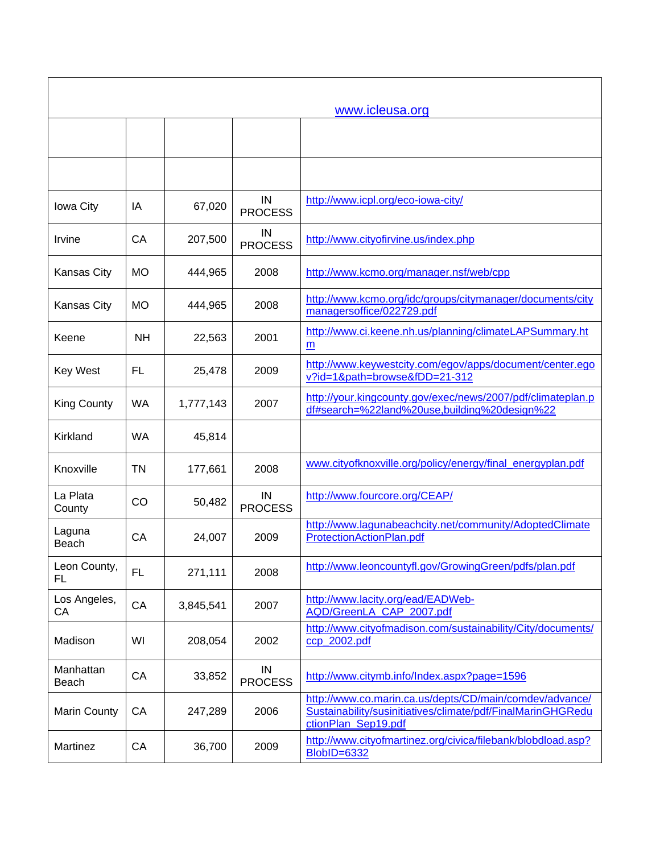|                     |           |           |                      | www.icleusa.org                                                                                                                               |
|---------------------|-----------|-----------|----------------------|-----------------------------------------------------------------------------------------------------------------------------------------------|
|                     |           |           |                      |                                                                                                                                               |
|                     |           |           |                      |                                                                                                                                               |
| Iowa City           | IA        | 67,020    | IN<br><b>PROCESS</b> | http://www.icpl.org/eco-iowa-city/                                                                                                            |
| Irvine              | CA        | 207,500   | IN<br><b>PROCESS</b> | http://www.cityofirvine.us/index.php                                                                                                          |
| <b>Kansas City</b>  | <b>MO</b> | 444,965   | 2008                 | http://www.kcmo.org/manager.nsf/web/cpp                                                                                                       |
| Kansas City         | <b>MO</b> | 444,965   | 2008                 | http://www.kcmo.org/idc/groups/citymanager/documents/city<br>managersoffice/022729.pdf                                                        |
| Keene               | <b>NH</b> | 22,563    | 2001                 | http://www.ci.keene.nh.us/planning/climateLAPSummary.ht<br>m                                                                                  |
| <b>Key West</b>     | <b>FL</b> | 25,478    | 2009                 | http://www.keywestcity.com/egov/apps/document/center.ego<br>v?id=1&path=browse&fDD=21-312                                                     |
| <b>King County</b>  | WA        | 1,777,143 | 2007                 | http://your.kingcounty.gov/exec/news/2007/pdf/climateplan.p<br>df#search=%22land%20use,building%20design%22                                   |
| Kirkland            | <b>WA</b> | 45,814    |                      |                                                                                                                                               |
| Knoxville           | <b>TN</b> | 177,661   | 2008                 | www.cityofknoxville.org/policy/energy/final_energyplan.pdf                                                                                    |
| La Plata<br>County  | CO        | 50,482    | IN<br><b>PROCESS</b> | http://www.fourcore.org/CEAP/                                                                                                                 |
| Laguna<br>Beach     | CA        | 24,007    | 2009                 | http://www.lagunabeachcity.net/community/AdoptedClimate<br>ProtectionActionPlan.pdf                                                           |
| Leon County,<br>FL  | <b>FL</b> | 271,111   | 2008                 | http://www.leoncountyfl.gov/GrowingGreen/pdfs/plan.pdf                                                                                        |
| Los Angeles,<br>CA  | CA        | 3,845,541 | 2007                 | http://www.lacity.org/ead/EADWeb-<br>AQD/GreenLA_CAP_2007.pdf                                                                                 |
| Madison             | WI        | 208,054   | 2002                 | http://www.cityofmadison.com/sustainability/City/documents/<br>ccp_2002.pdf                                                                   |
| Manhattan<br>Beach  | CA        | 33,852    | IN<br><b>PROCESS</b> | http://www.citymb.info/Index.aspx?page=1596                                                                                                   |
| <b>Marin County</b> | CA        | 247,289   | 2006                 | http://www.co.marin.ca.us/depts/CD/main/comdev/advance/<br>Sustainability/susinitiatives/climate/pdf/FinalMarinGHGRedu<br>ctionPlan_Sep19.pdf |
| Martinez            | CA        | 36,700    | 2009                 | http://www.cityofmartinez.org/civica/filebank/blobdload.asp?<br><b>BlobID=6332</b>                                                            |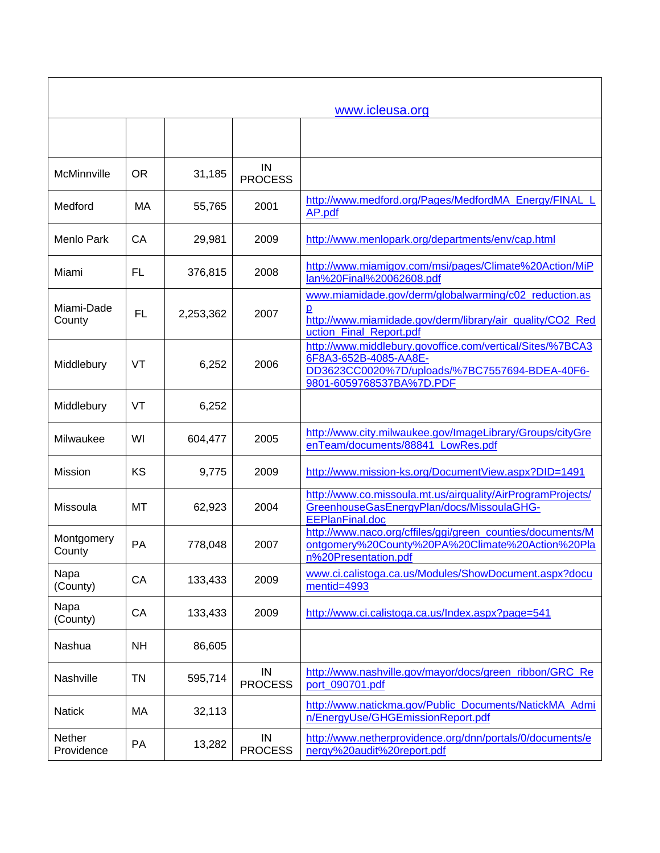|                      |           |           |                      | www.icleusa.org                                                                                                                                                  |
|----------------------|-----------|-----------|----------------------|------------------------------------------------------------------------------------------------------------------------------------------------------------------|
|                      |           |           |                      |                                                                                                                                                                  |
| McMinnville          | <b>OR</b> | 31,185    | IN<br><b>PROCESS</b> |                                                                                                                                                                  |
| Medford              | МA        | 55,765    | 2001                 | http://www.medford.org/Pages/MedfordMA Energy/FINAL L<br>AP.pdf                                                                                                  |
| Menlo Park           | CA        | 29,981    | 2009                 | http://www.menlopark.org/departments/env/cap.html                                                                                                                |
| Miami                | FL        | 376,815   | 2008                 | http://www.miamigov.com/msi/pages/Climate%20Action/MiP<br>lan%20Final%20062608.pdf                                                                               |
| Miami-Dade<br>County | <b>FL</b> | 2,253,362 | 2007                 | www.miamidade.gov/derm/globalwarming/c02_reduction.as<br>ք<br>http://www.miamidade.gov/derm/library/air_quality/CO2_Red<br>uction_Final_Report.pdf               |
| Middlebury           | VT        | 6,252     | 2006                 | http://www.middlebury.govoffice.com/vertical/Sites/%7BCA3<br>6F8A3-652B-4085-AA8E-<br>DD3623CC0020%7D/uploads/%7BC7557694-BDEA-40F6-<br>9801-6059768537BA%7D.PDF |
| Middlebury           | VT        | 6,252     |                      |                                                                                                                                                                  |
| Milwaukee            | WI        | 604,477   | 2005                 | http://www.city.milwaukee.gov/ImageLibrary/Groups/cityGre<br>enTeam/documents/88841 LowRes.pdf                                                                   |
| <b>Mission</b>       | KS        | 9,775     | 2009                 | http://www.mission-ks.org/DocumentView.aspx?DID=1491                                                                                                             |
| Missoula             | МT        | 62,923    | 2004                 | http://www.co.missoula.mt.us/airquality/AirProgramProjects/<br>GreenhouseGasEnergyPlan/docs/MissoulaGHG-<br><b>EEPlanFinal.doc</b>                               |
| Montgomery<br>County | PA        | 778,048   | 2007                 | http://www.naco.org/cffiles/ggi/green counties/documents/M<br>ontgomery%20County%20PA%20Climate%20Action%20Pla<br>n%20Presentation.pdf                           |
| Napa<br>(County)     | CA        | 133,433   | 2009                 | www.ci.calistoga.ca.us/Modules/ShowDocument.aspx?docu<br>mentid=4993                                                                                             |
| Napa<br>(County)     | CA        | 133,433   | 2009                 | http://www.ci.calistoga.ca.us/Index.aspx?page=541                                                                                                                |
| Nashua               | <b>NH</b> | 86,605    |                      |                                                                                                                                                                  |
| Nashville            | TN        | 595,714   | IN<br><b>PROCESS</b> | http://www.nashville.gov/mayor/docs/green_ribbon/GRC_Re<br>port_090701.pdf                                                                                       |
| <b>Natick</b>        | MA        | 32,113    |                      | http://www.natickma.gov/Public_Documents/NatickMA_Admi<br>n/EnergyUse/GHGEmissionReport.pdf                                                                      |
| Nether<br>Providence | PA        | 13,282    | IN<br><b>PROCESS</b> | http://www.netherprovidence.org/dnn/portals/0/documents/e<br>nergy%20audit%20report.pdf                                                                          |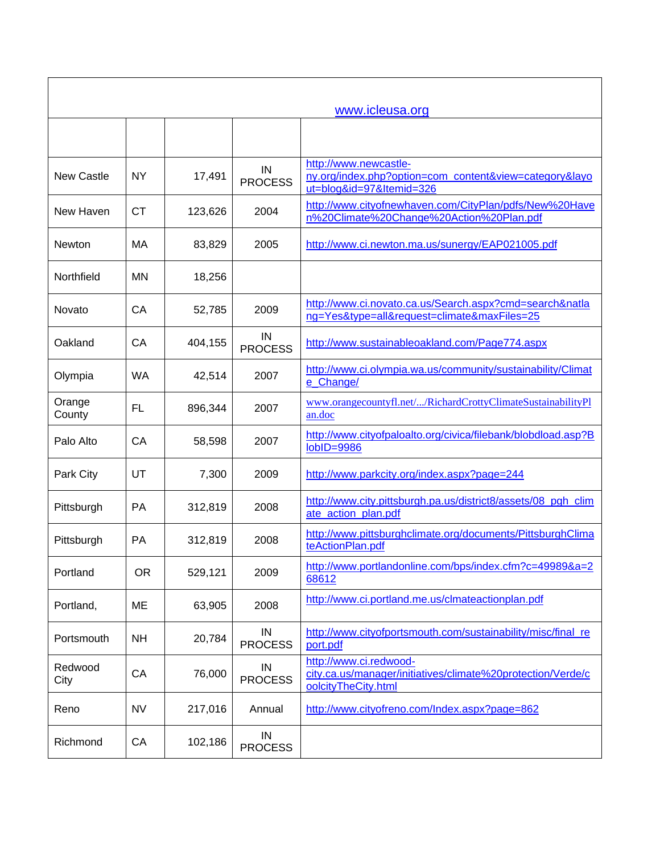|                   |           |         |                      | www.icleusa.org                                                                                              |
|-------------------|-----------|---------|----------------------|--------------------------------------------------------------------------------------------------------------|
|                   |           |         |                      |                                                                                                              |
| <b>New Castle</b> | <b>NY</b> | 17,491  | IN<br><b>PROCESS</b> | http://www.newcastle-<br>ny.org/index.php?option=com_content&view=category&layo<br>ut=blog&id=97&Itemid=326  |
| New Haven         | СT        | 123,626 | 2004                 | http://www.cityofnewhaven.com/CityPlan/pdfs/New%20Have<br>n%20Climate%20Change%20Action%20Plan.pdf           |
| Newton            | МA        | 83,829  | 2005                 | http://www.ci.newton.ma.us/sunergy/EAP021005.pdf                                                             |
| Northfield        | <b>MN</b> | 18,256  |                      |                                                                                                              |
| Novato            | CA        | 52,785  | 2009                 | http://www.ci.novato.ca.us/Search.aspx?cmd=search&natla<br>ng=Yes&type=all&request=climate&maxFiles=25       |
| Oakland           | CA        | 404,155 | IN<br><b>PROCESS</b> | http://www.sustainableoakland.com/Page774.aspx                                                               |
| Olympia           | <b>WA</b> | 42,514  | 2007                 | http://www.ci.olympia.wa.us/community/sustainability/Climat<br>e_Change/                                     |
| Orange<br>County  | FL        | 896,344 | 2007                 | www.orangecountyfl.net//RichardCrottyClimateSustainabilityPl<br>an.doc                                       |
| Palo Alto         | CA        | 58,598  | 2007                 | http://www.cityofpaloalto.org/civica/filebank/blobdload.asp?B<br>$\text{lobID} = 9986$                       |
| Park City         | UT        | 7,300   | 2009                 | http://www.parkcity.org/index.aspx?page=244                                                                  |
| Pittsburgh        | <b>PA</b> | 312,819 | 2008                 | http://www.city.pittsburgh.pa.us/district8/assets/08_pgh_clim<br>ate_action_plan.pdf                         |
| Pittsburgh        | PA        | 312,819 | 2008                 | http://www.pittsburghclimate.org/documents/PittsburghClima<br>teActionPlan.pdf                               |
| Portland          | <b>OR</b> | 529,121 | 2009                 | http://www.portlandonline.com/bps/index.cfm?c=49989&a=2<br>68612                                             |
| Portland,         | ME        | 63,905  | 2008                 | http://www.ci.portland.me.us/clmateactionplan.pdf                                                            |
| Portsmouth        | <b>NH</b> | 20,784  | IN<br><b>PROCESS</b> | http://www.cityofportsmouth.com/sustainability/misc/final_re<br>port.pdf                                     |
| Redwood<br>City   | CA        | 76,000  | IN<br><b>PROCESS</b> | http://www.ci.redwood-<br>city.ca.us/manager/initiatives/climate%20protection/Verde/c<br>oolcityTheCity.html |
| Reno              | <b>NV</b> | 217,016 | Annual               | http://www.cityofreno.com/Index.aspx?page=862                                                                |
| Richmond          | CA        | 102,186 | IN<br><b>PROCESS</b> |                                                                                                              |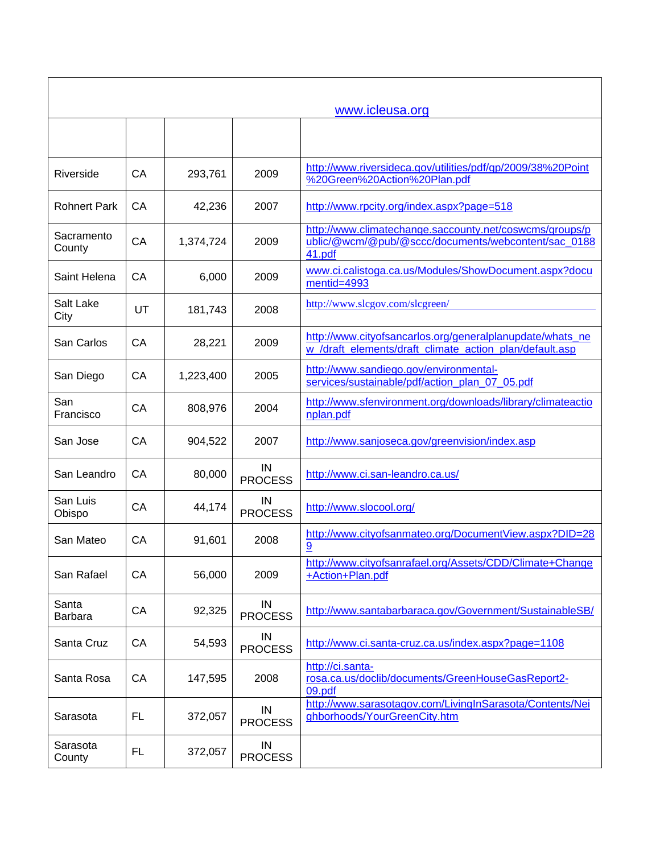| www.icleusa.org      |           |           |                      |                                                                                                                          |
|----------------------|-----------|-----------|----------------------|--------------------------------------------------------------------------------------------------------------------------|
|                      |           |           |                      |                                                                                                                          |
| Riverside            | CA        | 293,761   | 2009                 | http://www.riversideca.gov/utilities/pdf/gp/2009/38%20Point<br>%20Green%20Action%20Plan.pdf                              |
| <b>Rohnert Park</b>  | CA        | 42,236    | 2007                 | http://www.rpcity.org/index.aspx?page=518                                                                                |
| Sacramento<br>County | CA        | 1,374,724 | 2009                 | http://www.climatechange.saccounty.net/coswcms/groups/p<br>ublic/@wcm/@pub/@sccc/documents/webcontent/sac_0188<br>41.pdf |
| Saint Helena         | CA        | 6,000     | 2009                 | www.ci.calistoga.ca.us/Modules/ShowDocument.aspx?docu<br>mentid=4993                                                     |
| Salt Lake<br>City    | UT        | 181,743   | 2008                 | http://www.slcgov.com/slcgreen/                                                                                          |
| San Carlos           | CA        | 28,221    | 2009                 | http://www.cityofsancarlos.org/generalplanupdate/whats_ne<br>w_/draft_elements/draft_climate_action_plan/default.asp     |
| San Diego            | CA        | 1,223,400 | 2005                 | http://www.sandiego.gov/environmental-<br>services/sustainable/pdf/action_plan_07_05.pdf                                 |
| San<br>Francisco     | CA        | 808,976   | 2004                 | http://www.sfenvironment.org/downloads/library/climateactio<br>nplan.pdf                                                 |
| San Jose             | CA        | 904,522   | 2007                 | http://www.sanjoseca.gov/greenvision/index.asp                                                                           |
| San Leandro          | CA        | 80,000    | IN<br><b>PROCESS</b> | http://www.ci.san-leandro.ca.us/                                                                                         |
| San Luis<br>Obispo   | CA        | 44,174    | IN<br><b>PROCESS</b> | http://www.slocool.org/                                                                                                  |
| San Mateo            | CA        | 91,601    | 2008                 | http://www.cityofsanmateo.org/DocumentView.aspx?DID=28<br><u>9</u>                                                       |
| San Rafael           | CA        | 56,000    | 2009                 | http://www.cityofsanrafael.org/Assets/CDD/Climate+Change<br>+Action+Plan.pdf                                             |
| Santa<br>Barbara     | CA        | 92,325    | IN<br><b>PROCESS</b> | http://www.santabarbaraca.gov/Government/SustainableSB/                                                                  |
| Santa Cruz           | CA        | 54,593    | IN<br><b>PROCESS</b> | http://www.ci.santa-cruz.ca.us/index.aspx?page=1108                                                                      |
| Santa Rosa           | CA        | 147,595   | 2008                 | http://ci.santa-<br>rosa.ca.us/doclib/documents/GreenHouseGasReport2-<br>09.pdf                                          |
| Sarasota             | <b>FL</b> | 372,057   | IN<br><b>PROCESS</b> | http://www.sarasotagov.com/LivingInSarasota/Contents/Nei<br>ghborhoods/YourGreenCity.htm                                 |
| Sarasota<br>County   | <b>FL</b> | 372,057   | IN<br><b>PROCESS</b> |                                                                                                                          |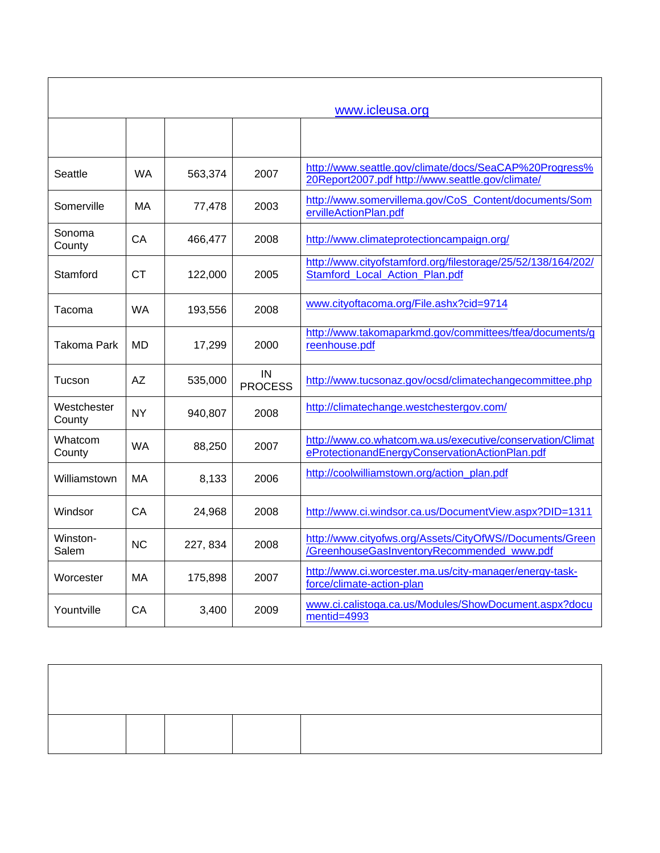| www.icleusa.org       |           |          |                      |                                                                                                             |
|-----------------------|-----------|----------|----------------------|-------------------------------------------------------------------------------------------------------------|
|                       |           |          |                      |                                                                                                             |
| Seattle               | <b>WA</b> | 563,374  | 2007                 | http://www.seattle.gov/climate/docs/SeaCAP%20Progress%<br>20Report2007.pdf http://www.seattle.gov/climate/  |
| Somerville            | МA        | 77,478   | 2003                 | http://www.somervillema.gov/CoS_Content/documents/Som<br>ervilleActionPlan.pdf                              |
| Sonoma<br>County      | CA        | 466,477  | 2008                 | http://www.climateprotectioncampaign.org/                                                                   |
| Stamford              | <b>CT</b> | 122,000  | 2005                 | http://www.cityofstamford.org/filestorage/25/52/138/164/202/<br>Stamford Local Action Plan.pdf              |
| Tacoma                | <b>WA</b> | 193,556  | 2008                 | www.cityoftacoma.org/File.ashx?cid=9714                                                                     |
| Takoma Park           | MD        | 17,299   | 2000                 | http://www.takomaparkmd.gov/committees/tfea/documents/g<br>reenhouse.pdf                                    |
| Tucson                | <b>AZ</b> | 535,000  | IN<br><b>PROCESS</b> | http://www.tucsonaz.gov/ocsd/climatechangecommittee.php                                                     |
| Westchester<br>County | <b>NY</b> | 940,807  | 2008                 | http://climatechange.westchestergov.com/                                                                    |
| Whatcom<br>County     | <b>WA</b> | 88,250   | 2007                 | http://www.co.whatcom.wa.us/executive/conservation/Climat<br>eProtectionandEnergyConservationActionPlan.pdf |
| Williamstown          | МA        | 8,133    | 2006                 | http://coolwilliamstown.org/action_plan.pdf                                                                 |
| Windsor               | CA        | 24,968   | 2008                 | http://www.ci.windsor.ca.us/DocumentView.aspx?DID=1311                                                      |
| Winston-<br>Salem     | <b>NC</b> | 227, 834 | 2008                 | http://www.cityofws.org/Assets/CityOfWS//Documents/Green<br>/GreenhouseGasInventoryRecommended www.pdf      |
| Worcester             | МA        | 175,898  | 2007                 | http://www.ci.worcester.ma.us/city-manager/energy-task-<br>force/climate-action-plan                        |
| Yountville            | CA        | 3,400    | 2009                 | www.ci.calistoga.ca.us/Modules/ShowDocument.aspx?docu<br>mentid=4993                                        |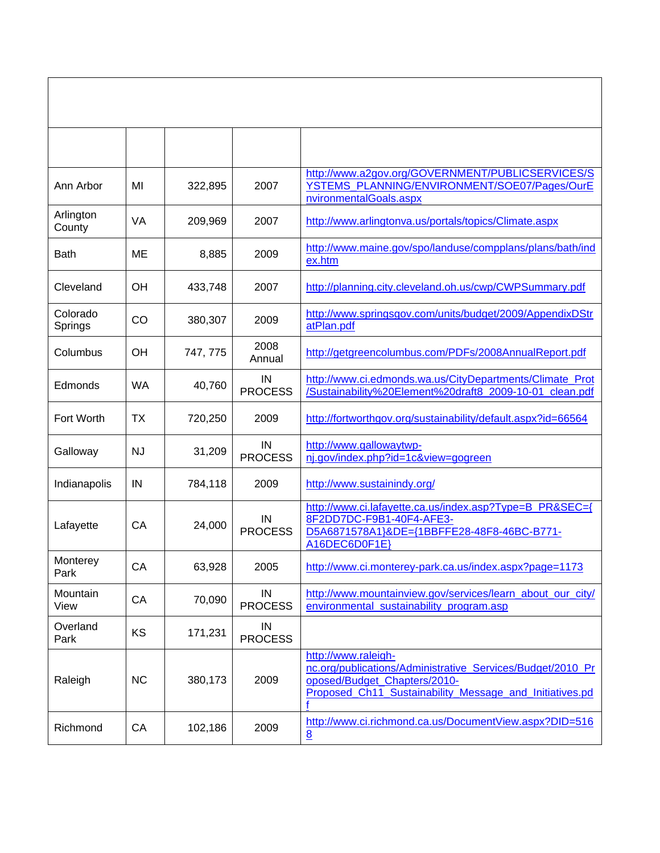| Ann Arbor           | MI        | 322,895  | 2007                 | http://www.a2gov.org/GOVERNMENT/PUBLICSERVICES/S<br>YSTEMS_PLANNING/ENVIRONMENT/SOE07/Pages/OurE<br>nvironmentalGoals.aspx                                                   |
|---------------------|-----------|----------|----------------------|------------------------------------------------------------------------------------------------------------------------------------------------------------------------------|
| Arlington<br>County | VA        | 209,969  | 2007                 | http://www.arlingtonva.us/portals/topics/Climate.aspx                                                                                                                        |
| Bath                | ME        | 8,885    | 2009                 | http://www.maine.gov/spo/landuse/compplans/plans/bath/ind<br>ex.htm                                                                                                          |
| Cleveland           | OH        | 433,748  | 2007                 | http://planning.city.cleveland.oh.us/cwp/CWPSummary.pdf                                                                                                                      |
| Colorado<br>Springs | CO        | 380,307  | 2009                 | http://www.springsgov.com/units/budget/2009/AppendixDStr<br>atPlan.pdf                                                                                                       |
| Columbus            | OH        | 747, 775 | 2008<br>Annual       | http://getgreencolumbus.com/PDFs/2008AnnualReport.pdf                                                                                                                        |
| Edmonds             | <b>WA</b> | 40,760   | IN<br><b>PROCESS</b> | http://www.ci.edmonds.wa.us/CityDepartments/Climate_Prot<br>/Sustainability%20Element%20draft8_2009-10-01_clean.pdf                                                          |
| Fort Worth          | <b>TX</b> | 720,250  | 2009                 | http://fortworthgov.org/sustainability/default.aspx?id=66564                                                                                                                 |
| Galloway            | <b>NJ</b> | 31,209   | IN<br><b>PROCESS</b> | http://www.gallowaytwp-<br>nj.gov/index.php?id=1c&view=gogreen                                                                                                               |
| Indianapolis        | IN        | 784,118  | 2009                 | http://www.sustainindy.org/                                                                                                                                                  |
| Lafayette           | CA        | 24,000   | IN<br><b>PROCESS</b> | http://www.ci.lafayette.ca.us/index.asp?Type=B_PR&SEC={<br>8F2DD7DC-F9B1-40F4-AFE3-<br>D5A6871578A1}&DE={1BBFFE28-48F8-46BC-B771-<br>A16DEC6D0F1E}                           |
| Monterey<br>Park    | CA        | 63,928   | 2005                 | http://www.ci.monterey-park.ca.us/index.aspx?page=1173                                                                                                                       |
| Mountain<br>View    | CA        | 70,090   | IN<br><b>PROCESS</b> | http://www.mountainview.gov/services/learn_about_our_city/<br>environmental_sustainability_program.asp                                                                       |
| Overland<br>Park    | KS        | 171,231  | IN<br><b>PROCESS</b> |                                                                                                                                                                              |
| Raleigh             | <b>NC</b> | 380,173  | 2009                 | http://www.raleigh-<br>nc.org/publications/Administrative_Services/Budget/2010_Pr<br>oposed/Budget_Chapters/2010-<br>Proposed_Ch11_Sustainability_Message_and_Initiatives.pd |
| Richmond            | CA        | 102,186  | 2009                 | http://www.ci.richmond.ca.us/DocumentView.aspx?DID=516<br>8                                                                                                                  |